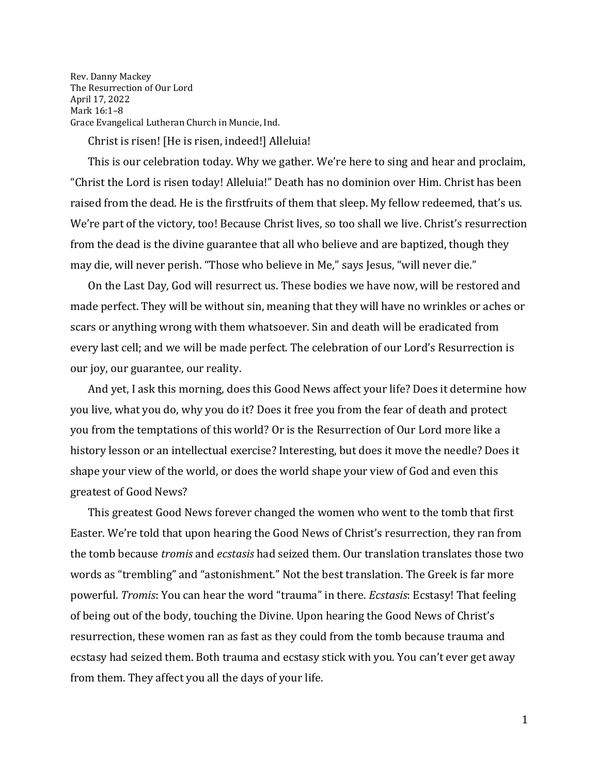Rev. Danny Mackey The Resurrection of Our Lord April 17, 2022 Mark 16:1–8 Grace Evangelical Lutheran Church in Muncie, Ind.

Christ is risen! [He is risen, indeed!] Alleluia!

This is our celebration today. Why we gather. We're here to sing and hear and proclaim, "Christ the Lord is risen today! Alleluia!" Death has no dominion over Him. Christ has been raised from the dead. He is the firstfruits of them that sleep. My fellow redeemed, that's us. We're part of the victory, too! Because Christ lives, so too shall we live. Christ's resurrection from the dead is the divine guarantee that all who believe and are baptized, though they may die, will never perish. "Those who believe in Me," says Jesus, "will never die."

On the Last Day, God will resurrect us. These bodies we have now, will be restored and made perfect. They will be without sin, meaning that they will have no wrinkles or aches or scars or anything wrong with them whatsoever. Sin and death will be eradicated from every last cell; and we will be made perfect. The celebration of our Lord's Resurrection is our joy, our guarantee, our reality.

And yet, I ask this morning, does this Good News affect your life? Does it determine how you live, what you do, why you do it? Does it free you from the fear of death and protect you from the temptations of this world? Or is the Resurrection of Our Lord more like a history lesson or an intellectual exercise? Interesting, but does it move the needle? Does it shape your view of the world, or does the world shape your view of God and even this greatest of Good News?

This greatest Good News forever changed the women who went to the tomb that first Easter. We're told that upon hearing the Good News of Christ's resurrection, they ran from the tomb because *tromis* and *ecstasis* had seized them. Our translation translates those two words as "trembling" and "astonishment." Not the best translation. The Greek is far more powerful. *Tromis*: You can hear the word "trauma" in there. *Ecstasis*: Ecstasy! That feeling of being out of the body, touching the Divine. Upon hearing the Good News of Christ's resurrection, these women ran as fast as they could from the tomb because trauma and ecstasy had seized them. Both trauma and ecstasy stick with you. You can't ever get away from them. They affect you all the days of your life.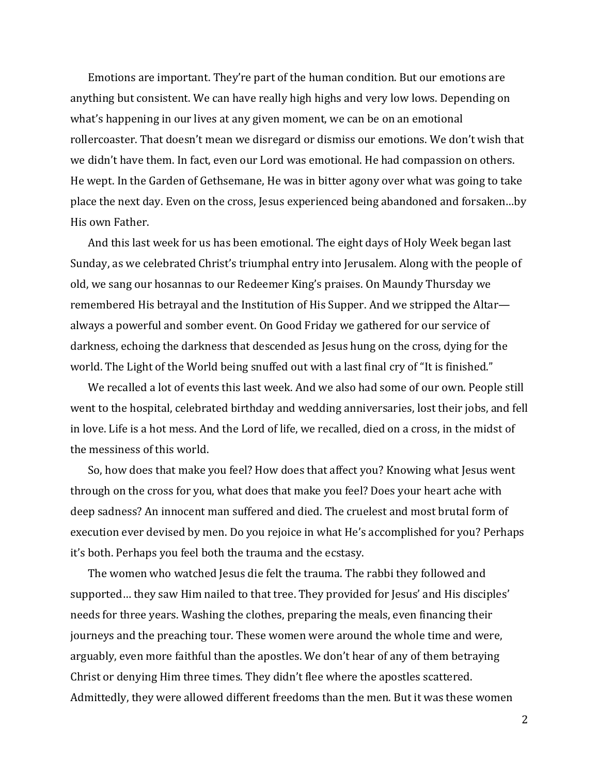Emotions are important. They're part of the human condition. But our emotions are anything but consistent. We can have really high highs and very low lows. Depending on what's happening in our lives at any given moment, we can be on an emotional rollercoaster. That doesn't mean we disregard or dismiss our emotions. We don't wish that we didn't have them. In fact, even our Lord was emotional. He had compassion on others. He wept. In the Garden of Gethsemane, He was in bitter agony over what was going to take place the next day. Even on the cross, Jesus experienced being abandoned and forsaken…by His own Father.

And this last week for us has been emotional. The eight days of Holy Week began last Sunday, as we celebrated Christ's triumphal entry into Jerusalem. Along with the people of old, we sang our hosannas to our Redeemer King's praises. On Maundy Thursday we remembered His betrayal and the Institution of His Supper. And we stripped the Altar always a powerful and somber event. On Good Friday we gathered for our service of darkness, echoing the darkness that descended as Jesus hung on the cross, dying for the world. The Light of the World being snuffed out with a last final cry of "It is finished."

We recalled a lot of events this last week. And we also had some of our own. People still went to the hospital, celebrated birthday and wedding anniversaries, lost their jobs, and fell in love. Life is a hot mess. And the Lord of life, we recalled, died on a cross, in the midst of the messiness of this world.

So, how does that make you feel? How does that affect you? Knowing what Jesus went through on the cross for you, what does that make you feel? Does your heart ache with deep sadness? An innocent man suffered and died. The cruelest and most brutal form of execution ever devised by men. Do you rejoice in what He's accomplished for you? Perhaps it's both. Perhaps you feel both the trauma and the ecstasy.

The women who watched Jesus die felt the trauma. The rabbi they followed and supported… they saw Him nailed to that tree. They provided for Jesus' and His disciples' needs for three years. Washing the clothes, preparing the meals, even financing their journeys and the preaching tour. These women were around the whole time and were, arguably, even more faithful than the apostles. We don't hear of any of them betraying Christ or denying Him three times. They didn't flee where the apostles scattered. Admittedly, they were allowed different freedoms than the men. But it was these women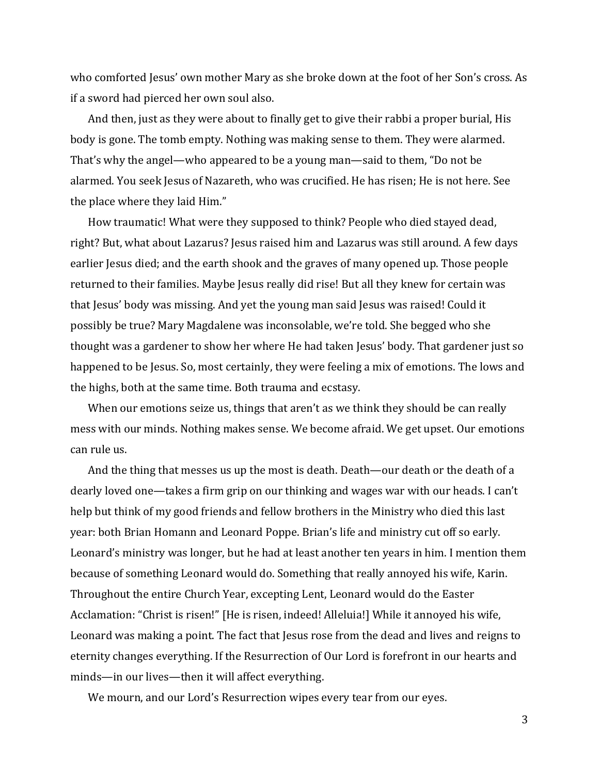who comforted Jesus' own mother Mary as she broke down at the foot of her Son's cross. As if a sword had pierced her own soul also.

And then, just as they were about to finally get to give their rabbi a proper burial, His body is gone. The tomb empty. Nothing was making sense to them. They were alarmed. That's why the angel—who appeared to be a young man—said to them, "Do not be alarmed. You seek Jesus of Nazareth, who was crucified. He has risen; He is not here. See the place where they laid Him."

How traumatic! What were they supposed to think? People who died stayed dead, right? But, what about Lazarus? Jesus raised him and Lazarus was still around. A few days earlier Jesus died; and the earth shook and the graves of many opened up. Those people returned to their families. Maybe Jesus really did rise! But all they knew for certain was that Jesus' body was missing. And yet the young man said Jesus was raised! Could it possibly be true? Mary Magdalene was inconsolable, we're told. She begged who she thought was a gardener to show her where He had taken Jesus' body. That gardener just so happened to be Jesus. So, most certainly, they were feeling a mix of emotions. The lows and the highs, both at the same time. Both trauma and ecstasy.

When our emotions seize us, things that aren't as we think they should be can really mess with our minds. Nothing makes sense. We become afraid. We get upset. Our emotions can rule us.

And the thing that messes us up the most is death. Death—our death or the death of a dearly loved one—takes a firm grip on our thinking and wages war with our heads. I can't help but think of my good friends and fellow brothers in the Ministry who died this last year: both Brian Homann and Leonard Poppe. Brian's life and ministry cut off so early. Leonard's ministry was longer, but he had at least another ten years in him. I mention them because of something Leonard would do. Something that really annoyed his wife, Karin. Throughout the entire Church Year, excepting Lent, Leonard would do the Easter Acclamation: "Christ is risen!" [He is risen, indeed! Alleluia!] While it annoyed his wife, Leonard was making a point. The fact that Jesus rose from the dead and lives and reigns to eternity changes everything. If the Resurrection of Our Lord is forefront in our hearts and minds—in our lives—then it will affect everything.

We mourn, and our Lord's Resurrection wipes every tear from our eyes.

3